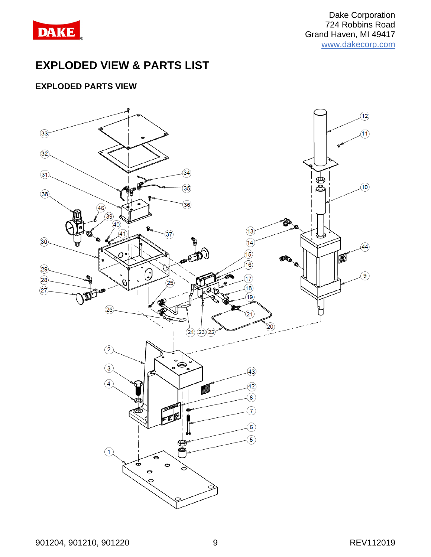

# **EXPLODED VIEW & PARTS LIST**

### **EXPLODED PARTS VIEW**

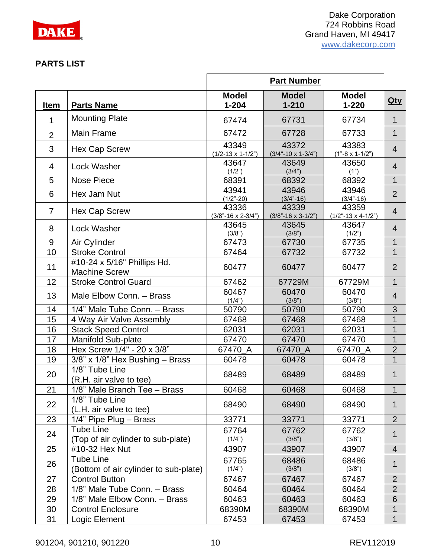

### **PARTS LIST**

|                |                                                           | <b>Part Number</b>                   |                                        |                                        |                |  |
|----------------|-----------------------------------------------------------|--------------------------------------|----------------------------------------|----------------------------------------|----------------|--|
| <b>Item</b>    | <b>Parts Name</b>                                         | <b>Model</b><br>$1 - 204$            | <b>Model</b><br>$1 - 210$              | <b>Model</b><br>$1 - 220$              | $Q$ ty         |  |
| 1              | <b>Mounting Plate</b>                                     | 67474                                | 67731                                  | 67734                                  | $\mathbf 1$    |  |
| $\overline{2}$ | <b>Main Frame</b>                                         | 67472                                | 67728                                  | 67733                                  | 1              |  |
| 3              | Hex Cap Screw                                             | 43349<br>$(1/2-13 \times 1-1/2")$    | 43372<br>$(3/4" - 10 \times 1 - 3/4")$ | 43383<br>$(1" - 8 \times 1 - 1/2")$    | $\overline{4}$ |  |
| $\overline{4}$ | Lock Washer                                               | 43647<br>(1/2")                      | 43649<br>(3/4")                        | 43650<br>(1")                          | $\overline{4}$ |  |
| 5              | Nose Piece                                                | 68391                                | 68392                                  | 68392                                  | $\mathbf{1}$   |  |
| 6              | Hex Jam Nut                                               | 43941<br>$(1/2" - 20)$               | 43946<br>$(3/4 - 16)$                  | 43946<br>$(3/4" - 16)$                 | $\overline{2}$ |  |
| $\overline{7}$ | Hex Cap Screw                                             | 43336<br>$(3/8 - 16 \times 2 - 3/4)$ | 43339<br>$(3/8" - 16 \times 3 - 1/2")$ | 43359<br>$(1/2" - 13 \times 4 - 1/2")$ | $\overline{4}$ |  |
| 8              | Lock Washer                                               | 43645<br>(3/8")                      | 43645<br>(3/8")                        | 43647<br>(1/2")                        | $\overline{4}$ |  |
| 9              | Air Cylinder                                              | 67473                                | 67730                                  | 67735                                  | 1              |  |
| 10             | <b>Stroke Control</b>                                     | 67464                                | 67732                                  | 67732                                  | $\mathbf{1}$   |  |
| 11             | #10-24 x 5/16" Phillips Hd.<br><b>Machine Screw</b>       | 60477                                | 60477                                  | 60477                                  | $\overline{2}$ |  |
| 12             | <b>Stroke Control Guard</b>                               | 67462                                | 67729M                                 | 67729M                                 | $\mathbf 1$    |  |
| 13             | Male Elbow Conn. - Brass                                  | 60467<br>(1/4")                      | 60470<br>(3/8")                        | 60470<br>(3/8")                        | $\overline{4}$ |  |
| 14             | 1/4" Male Tube Conn. - Brass                              | 50790                                | 50790                                  | 50790                                  | 3              |  |
| 15             | 4 Way Air Valve Assembly                                  | 67468                                | 67468                                  | 67468                                  | $\mathbf 1$    |  |
| 16             | <b>Stack Speed Control</b>                                | 62031                                | 62031                                  | 62031                                  | 1              |  |
| 17             | <b>Manifold Sub-plate</b>                                 | 67470                                | 67470                                  | 67470                                  | 1              |  |
| 18             | Hex Screw 1/4" - 20 x 3/8"                                | 67470 A                              | 67470 A                                | 67470 A                                | $\overline{2}$ |  |
| 19             | 3/8" x 1/8" Hex Bushing - Brass                           | 60478                                | 60478                                  | 60478                                  | $\mathbf 1$    |  |
| 20             | 1/8" Tube Line<br>(R.H. air valve to tee)                 | 68489                                | 68489                                  | 68489                                  | 1              |  |
| 21             | 1/8" Male Branch Tee - Brass                              | 60468                                | 60468                                  | 60468                                  | 1              |  |
| 22             | 1/8" Tube Line<br>(L.H. air valve to tee)                 | 68490                                | 68490                                  | 68490                                  | 1              |  |
| 23             | $1/4$ " Pipe Plug – Brass                                 | 33771                                | 33771                                  | 33771                                  | $\overline{2}$ |  |
| 24             | <b>Tube Line</b><br>(Top of air cylinder to sub-plate)    | 67764<br>(1/4")                      | 67762<br>(3/8")                        | 67762<br>(3/8")                        | 1              |  |
| 25             | #10-32 Hex Nut                                            | 43907                                | 43907                                  | 43907                                  | 4              |  |
| 26             | <b>Tube Line</b><br>(Bottom of air cylinder to sub-plate) | 67765<br>(1/4")                      | 68486<br>(3/8")                        | 68486<br>(3/8")                        | 1              |  |
| 27             | <b>Control Button</b>                                     | 67467                                | 67467                                  | 67467                                  | $\overline{2}$ |  |
| 28             | 1/8" Male Tube Conn. - Brass                              | 60464                                | 60464                                  | 60464                                  | $\overline{2}$ |  |
| 29             | 1/8" Male Elbow Conn. - Brass                             | 60463                                | 60463                                  | 60463                                  | 6              |  |
| 30             | <b>Control Enclosure</b>                                  | 68390M                               | 68390M                                 | 68390M                                 | 1              |  |
| 31             | Logic Element                                             | 67453                                | 67453                                  | 67453                                  | $\mathbf 1$    |  |